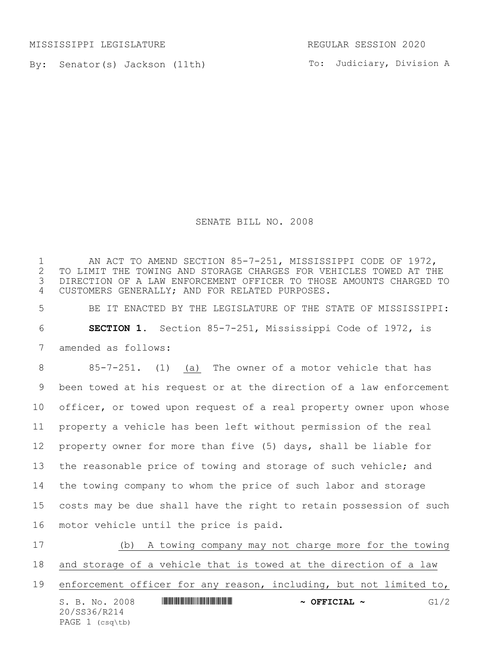MISSISSIPPI LEGISLATURE REGULAR SESSION 2020

By: Senator(s) Jackson (11th)

To: Judiciary, Division A

## SENATE BILL NO. 2008

1 AN ACT TO AMEND SECTION 85-7-251, MISSISSIPPI CODE OF 1972,<br>2 TO LIMIT THE TOWING AND STORAGE CHARGES FOR VEHICLES TOWED AT TH TO LIMIT THE TOWING AND STORAGE CHARGES FOR VEHICLES TOWED AT THE DIRECTION OF A LAW ENFORCEMENT OFFICER TO THOSE AMOUNTS CHARGED TO CUSTOMERS GENERALLY; AND FOR RELATED PURPOSES.

 BE IT ENACTED BY THE LEGISLATURE OF THE STATE OF MISSISSIPPI: **SECTION 1.** Section 85-7-251, Mississippi Code of 1972, is amended as follows:

 85-7-251. (1) (a) The owner of a motor vehicle that has been towed at his request or at the direction of a law enforcement officer, or towed upon request of a real property owner upon whose property a vehicle has been left without permission of the real property owner for more than five (5) days, shall be liable for the reasonable price of towing and storage of such vehicle; and the towing company to whom the price of such labor and storage costs may be due shall have the right to retain possession of such motor vehicle until the price is paid.

S. B. No. 2008 **\*\*\* A SEPT A SEPT A POST A SEPT A SEPT A SEPT A SERVICE A SEPT A SERVICE A SERVICE A SERVICE A** 20/SS36/R214 PAGE 1 (csq\tb) (b) A towing company may not charge more for the towing and storage of a vehicle that is towed at the direction of a law enforcement officer for any reason, including, but not limited to,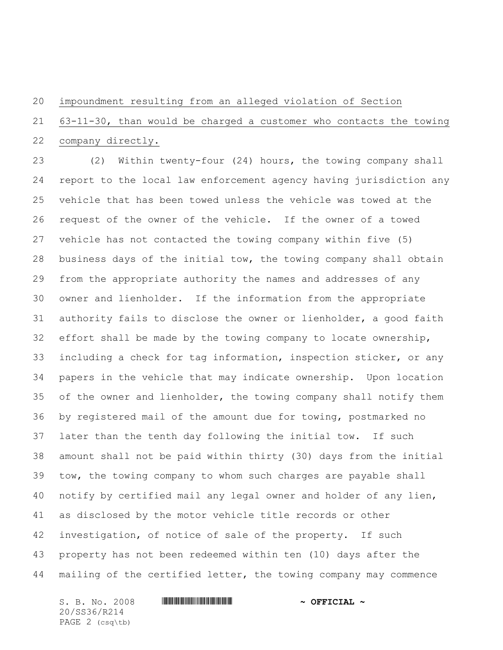## impoundment resulting from an alleged violation of Section

## 63-11-30, than would be charged a customer who contacts the towing company directly.

 (2) Within twenty-four (24) hours, the towing company shall report to the local law enforcement agency having jurisdiction any vehicle that has been towed unless the vehicle was towed at the request of the owner of the vehicle. If the owner of a towed vehicle has not contacted the towing company within five (5) business days of the initial tow, the towing company shall obtain from the appropriate authority the names and addresses of any owner and lienholder. If the information from the appropriate authority fails to disclose the owner or lienholder, a good faith effort shall be made by the towing company to locate ownership, including a check for tag information, inspection sticker, or any papers in the vehicle that may indicate ownership. Upon location 35 of the owner and lienholder, the towing company shall notify them by registered mail of the amount due for towing, postmarked no later than the tenth day following the initial tow. If such amount shall not be paid within thirty (30) days from the initial tow, the towing company to whom such charges are payable shall notify by certified mail any legal owner and holder of any lien, as disclosed by the motor vehicle title records or other investigation, of notice of sale of the property. If such property has not been redeemed within ten (10) days after the mailing of the certified letter, the towing company may commence

S. B. No. 2008 \*SS36/R214\* **~ OFFICIAL ~** 20/SS36/R214 PAGE 2 (csq\tb)